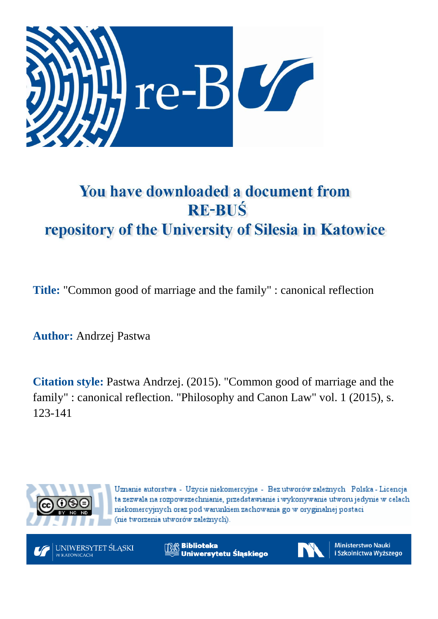

# You have downloaded a document from **RE-BUŚ** repository of the University of Silesia in Katowice

**Title:** "Common good of marriage and the family" : canonical reflection

**Author:** Andrzej Pastwa

**Citation style:** Pastwa Andrzej. (2015). "Common good of marriage and the family" : canonical reflection. "Philosophy and Canon Law" vol. 1 (2015), s. 123-141



Uznanie autorstwa - Użycie niekomercyjne - Bez utworów zależnych Polska - Licencja ta zezwala na rozpowszechnianie, przedstawianie i wykonywanie utworu jedynie w celach niekomercyjnych oraz pod warunkiem zachowania go w oryginalnej postaci (nie tworzenia utworów zależnych).



**Biblioteka** Uniwersytetu Śląskiego



**Ministerstwo Nauki** i Szkolnictwa Wyższego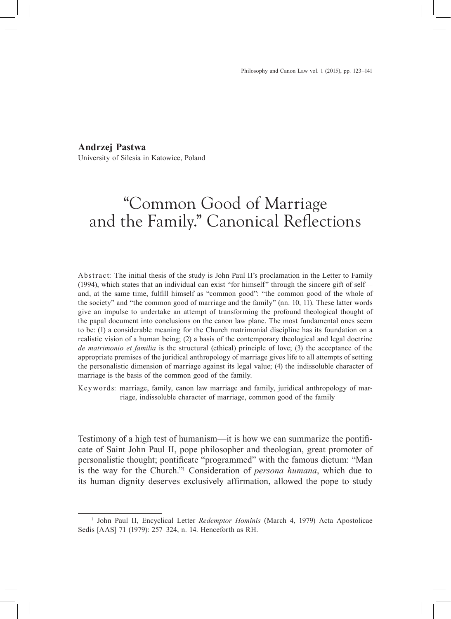**Andrzej Pastwa**

University of Silesia in Katowice, Poland

## "Common Good of Marriage and the Family." Canonical Reflections

Abstract: The initial thesis of the study is John Paul II's proclamation in the Letter to Family (1994), which states that an individual can exist "for himself" through the sincere gift of self and, at the same time, fulfill himself as "common good": "the common good of the whole of the society" and "the common good of marriage and the family" (nn. 10, 11). These latter words give an impulse to undertake an attempt of transforming the profound theological thought of the papal document into conclusions on the canon law plane. The most fundamental ones seem to be: (1) a considerable meaning for the Church matrimonial discipline has its foundation on a realistic vision of a human being; (2) a basis of the contemporary theological and legal doctrine *de matrimonio et familia* is the structural (ethical) principle of love; (3) the acceptance of the appropriate premises of the juridical anthropology of marriage gives life to all attempts of setting the personalistic dimension of marriage against its legal value; (4) the indissoluble character of marriage is the basis of the common good of the family.

Key words: marriage, family, canon law marriage and family, juridical anthropology of marriage, indissoluble character of marriage, common good of the family

Testimony of a high test of humanism—it is how we can summarize the pontificate of Saint John Paul II, pope philosopher and theologian, great promoter of personalistic thought; pontificate "programmed" with the famous dictum: "Man is the way for the Church."1 Consideration of *persona humana*, which due to its human dignity deserves exclusively affirmation, allowed the pope to study

<sup>1</sup> John Paul II, Encyclical Letter *Redemptor Hominis* (March 4, 1979) Acta Apostolicae Sedis [AAS] 71 (1979): 257–324, n. 14. Henceforth as RH.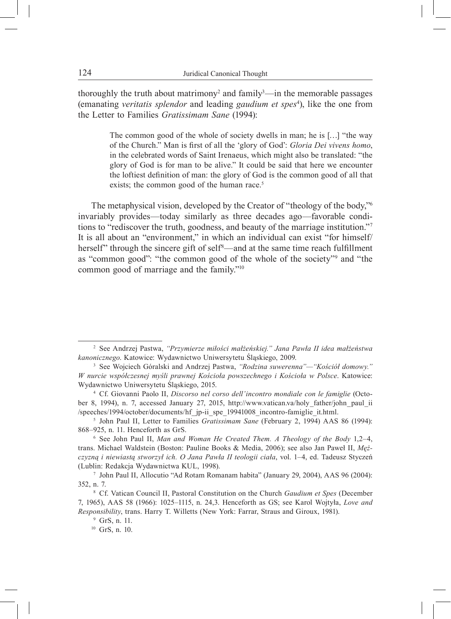thoroughly the truth about matrimony<sup>2</sup> and family<sup>3</sup>—in the memorable passages (emanating *veritatis splendor* and leading *gaudium et spes*<sup>4</sup> ), like the one from the Letter to Families *Gratissimam Sane* (1994):

> The common good of the whole of society dwells in man; he is […] "the way of the Church." Man is first of all the 'glory of God': *Gloria Dei vivens homo*, in the celebrated words of Saint Irenaeus, which might also be translated: "the glory of God is for man to be alive." It could be said that here we encounter the loftiest definition of man: the glory of God is the common good of all that exists; the common good of the human race.<sup>5</sup>

The metaphysical vision, developed by the Creator of "theology of the body,"<sup>6</sup> invariably provides—today similarly as three decades ago—favorable conditions to "rediscover the truth, goodness, and beauty of the marriage institution."<sup>7</sup> It is all about an "environment," in which an individual can exist "for himself/ herself" through the sincere gift of self<sup>8</sup>—and at the same time reach fulfillment as "common good": "the common good of the whole of the society"9 and "the common good of marriage and the family."10

<sup>2</sup> See Andrzej Pastwa, *"Przymierze miłości małżeńskiej." Jana Pawła II idea małżeństwa kanonicznego*. Katowice: Wydawnictwo Uniwersytetu Śląskiego, 2009.

<sup>3</sup> See Wojciech Góralski and Andrzej Pastwa, *"Rodzina suwerenna"—"Kościół domowy." W nurcie współczesnej myśli prawnej Kościoła powszechnego i Kościoła w Polsce*. Katowice: Wydawnictwo Uniwersytetu Śląskiego, 2015.

<sup>4</sup> Cf. Giovanni Paolo II, *Discorso nel corso dell'incontro mondiale con le famiglie* (October 8, 1994), n. 7, accessed January 27, 2015, http://www.vatican.va/holy\_father/john\_paul\_ii /speeches/1994/october/documents/hf\_jp-ii\_spe\_19941008\_incontro-famiglie\_it.html.

<sup>5</sup> John Paul II, Letter to Families *Gratissimam Sane* (February 2, 1994) AAS 86 (1994): 868–925, n. 11. Henceforth as GrS.

<sup>6</sup> See John Paul II, *Man and Woman He Created Them. A Theology of the Body* 1,2–4, trans. Michael Waldstein (Boston: Pauline Books & Media, 2006); see also Jan Paweł II, *Mężczyzną i niewiastą stworzył ich. O Jana Pawła II teologii ciała*, vol. 1–4, ed. Tadeusz Styczeń (Lublin: Redakcja Wydawnictwa KUL, 1998).

<sup>7</sup> John Paul II, Allocutio "Ad Rotam Romanam habita" (January 29, 2004), AAS 96 (2004): 352, n. 7.

<sup>8</sup> Cf. Vatican Council II, Pastoral Constitution on the Church *Gaudium et Spes* (December 7, 1965), AAS 58 (1966): 1025–1115, n. 24,3. Henceforth as GS; see Karol Wojtyła, *Love and Responsibility*, trans. Harry T. Willetts (New York: Farrar, Straus and Giroux, 1981). <sup>9</sup> GrS, n. 11.

<sup>10</sup> GrS, n. 10.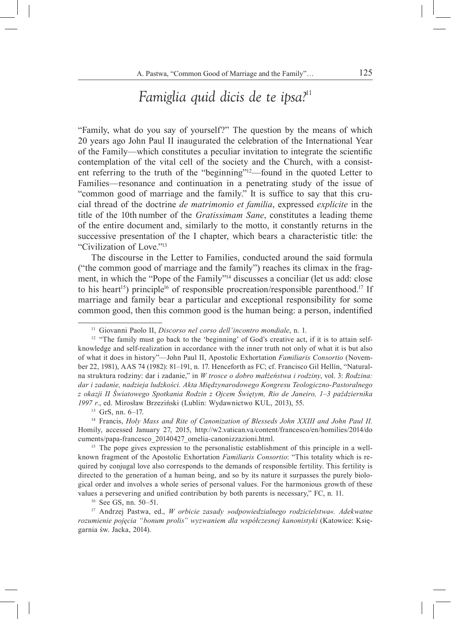### *Famiglia quid dicis de te ipsa?*<sup>11</sup>

"Family, what do you say of yourself?" The question by the means of which 20 years ago John Paul II inaugurated the celebration of the International Year of the Family—which constitutes a peculiar invitation to integrate the scientific contemplation of the vital cell of the society and the Church, with a consistent referring to the truth of the "beginning"12—found in the quoted Letter to Families—resonance and continuation in a penetrating study of the issue of "common good of marriage and the family." It is suffice to say that this crucial thread of the doctrine *de matrimonio et familia*, expressed *explicite* in the title of the 10th number of the *Gratissimam Sane*, constitutes a leading theme of the entire document and, similarly to the motto, it constantly returns in the successive presentation of the I chapter, which bears a characteristic title: the "Civilization of Love."13

The discourse in the Letter to Families, conducted around the said formula ("the common good of marriage and the family") reaches its climax in the fragment, in which the "Pope of the Family"14 discusses a conciliar (let us add: close to his heart<sup>15</sup>) principle<sup>16</sup> of responsible procreation/responsible parenthood.<sup>17</sup> If marriage and family bear a particular and exceptional responsibility for some common good, then this common good is the human being: a person, indentified

<sup>13</sup> GrS, nn. 6–17.<br><sup>14</sup> Francis, *Holy Mass and Rite of Canonization of Blesseds John XXIII and John Paul II.* Homily, accessed January 27, 2015, http://w2.vatican.va/content/francesco/en/homilies/2014/do cuments/papa-francesco\_20140427\_omelia-canonizzazioni.html. 15 The pope gives expression to the personalistic establishment of this principle in a well-

known fragment of the Apostolic Exhortation *Familiaris Consortio*: "This totality which is required by conjugal love also corresponds to the demands of responsible fertility. This fertility is directed to the generation of a human being, and so by its nature it surpasses the purely biological order and involves a whole series of personal values. For the harmonious growth of these values a persevering and unified contribution by both parents is necessary," FC, n. 11.

<sup>16</sup> See GS, nn. 50–51.

<sup>17</sup> Andrzej Pastwa, ed., *W orbicie zasady »odpowiedzialnego rodzicielstwa«. Adekwatne rozumienie pojęcia "bonum prolis" wyzwaniem dla współczesnej kanonistyki* (Katowice: Księgarnia św. Jacka, 2014).

<sup>11</sup> Giovanni Paolo II, *Discorso nel corso dell'incontro mondiale*, n. 1.

<sup>&</sup>lt;sup>12</sup> "The family must go back to the 'beginning' of God's creative act, if it is to attain selfknowledge and self-realization in accordance with the inner truth not only of what it is but also of what it does in history"—John Paul II, Apostolic Exhortation *Familiaris Consortio* (November 22, 1981), AAS 74 (1982): 81–191, n. 17. Henceforth as FC; cf. Francisco Gil Hellín, "Naturalna struktura rodziny: dar i zadanie," in *W trosce o dobro małżeństwa i rodziny*, vol. 3: *Rodzina: dar i zadanie, nadzieja ludzkości. Akta Międzynarodowego Kongresu Teologiczno-Pastoralnego z okazji II Światowego Spotkania Rodzin z Ojcem Świętym, Rio de Janeiro, 1*–*3 października 1997 r.*, ed. Mirosław Brzeziński (Lublin: Wydawnictwo KUL, 2013), 55.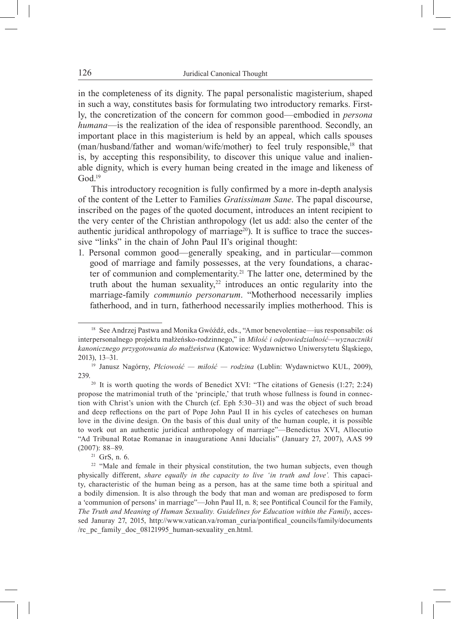in the completeness of its dignity. The papal personalistic magisterium, shaped in such a way, constitutes basis for formulating two introductory remarks. Firstly, the concretization of the concern for common good—embodied in *persona humana*—is the realization of the idea of responsible parenthood. Secondly, an important place in this magisterium is held by an appeal, which calls spouses (man/husband/father and woman/wife/mother) to feel truly responsible,<sup>18</sup> that is, by accepting this responsibility, to discover this unique value and inalienable dignity, which is every human being created in the image and likeness of  $God.<sup>19</sup>$ 

This introductory recognition is fully confirmed by a more in-depth analysis of the content of the Letter to Families *Gratissimam Sane*. The papal discourse, inscribed on the pages of the quoted document, introduces an intent recipient to the very center of the Christian anthropology (let us add: also the center of the authentic juridical anthropology of marriage<sup>20</sup>). It is suffice to trace the successive "links" in the chain of John Paul II's original thought:

1. Personal common good—generally speaking, and in particular—common good of marriage and family possesses, at the very foundations, a character of communion and complementarity.21 The latter one, determined by the truth about the human sexuality, $22$  introduces an ontic regularity into the marriage-family *communio personarum*. "Motherhood necessarily implies fatherhood, and in turn, fatherhood necessarily implies motherhood. This is

<sup>21</sup> GrS, n. 6.

<sup>18</sup> See Andrzej Pastwa and Monika Gwóźdź, eds., "Amor benevolentiae—ius responsabile: oś interpersonalnego projektu małżeńsko-rodzinnego," in *Miłość i odpowiedzialność—wyznaczniki kanonicznego przygotowania do małżeństwa* (Katowice: Wydawnictwo Uniwersytetu Śląskiego, 2013), 13–31. 19 Janusz Nagórny, *Płciowość — miłość — rodzina* (Lublin: Wydawnictwo KUL, 2009),

<sup>239.</sup>

<sup>&</sup>lt;sup>20</sup> It is worth quoting the words of Benedict XVI: "The citations of Genesis  $(1:27; 2:24)$ propose the matrimonial truth of the 'principle,' that truth whose fullness is found in connection with Christ's union with the Church (cf. Eph 5:30–31) and was the object of such broad and deep reflections on the part of Pope John Paul II in his cycles of catecheses on human love in the divine design. On the basis of this dual unity of the human couple, it is possible to work out an authentic juridical anthropology of marriage"—Benedictus XVI, Allocutio "Ad Tribunal Rotae Romanae in inauguratione Anni Iducialis" (January 27, 2007), AAS 99 (2007): 88–89.

<sup>&</sup>lt;sup>22</sup> "Male and female in their physical constitution, the two human subjects, even though physically different, *share equally in the capacity to live 'in truth and love'.* This capacity, characteristic of the human being as a person, has at the same time both a spiritual and a bodily dimension. It is also through the body that man and woman are predisposed to form a 'communion of persons' in marriage"—John Paul II, n. 8; see Pontifical Council for the Family, *The Truth and Meaning of Human Sexuality. Guidelines for Education within the Family*, accessed Januray 27, 2015, http://www.vatican.va/roman\_curia/pontifical\_councils/family/documents /rc\_pc\_family\_doc\_08121995\_human-sexuality\_en.html.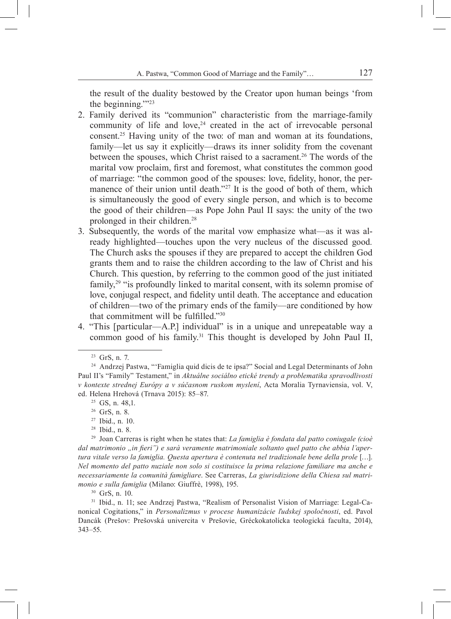the result of the duality bestowed by the Creator upon human beings 'from the beginning.'"23

- 2. Family derived its "communion" characteristic from the marriage-family community of life and love, $24$  created in the act of irrevocable personal consent.25 Having unity of the two: of man and woman at its foundations, family—let us say it explicitly—draws its inner solidity from the covenant between the spouses, which Christ raised to a sacrament.<sup>26</sup> The words of the marital vow proclaim, first and foremost, what constitutes the common good of marriage: "the common good of the spouses: love, fidelity, honor, the permanence of their union until death."<sup>27</sup> It is the good of both of them, which is simultaneously the good of every single person, and which is to become the good of their children—as Pope John Paul II says: the unity of the two prolonged in their children.28
- 3. Subsequently, the words of the marital vow emphasize what—as it was already highlighted—touches upon the very nucleus of the discussed good*.*  The Church asks the spouses if they are prepared to accept the children God grants them and to raise the children according to the law of Christ and his Church. This question, by referring to the common good of the just initiated family,<sup>29</sup> "is profoundly linked to marital consent, with its solemn promise of love, conjugal respect, and fidelity until death. The acceptance and education of children—two of the primary ends of the family—are conditioned by how that commitment will be fulfilled."30
- 4. "This [particular—A.P.] individual" is in a unique and unrepeatable way a common good of his family.<sup>31</sup> This thought is developed by John Paul II,

<sup>28</sup> Ibid., n. 8.

nonical Cogitations," in *Personalizmus v procese humanizácie ľudskej spoločnosti*, ed. Pavol Dancák (Prešov: Prešovská univercita v Prešovie, Gréckokatolícka teologická faculta, 2014), 343–55.

<sup>23</sup> GrS, n. 7.

<sup>24</sup> Andrzej Pastwa, "'Famiglia quid dicis de te ipsa?" Social and Legal Determinants of John Paul II's "Family" Testament," in *Aktuálne sociálno etické trendy a problematika spravodlivosti v kontexte strednej Európy a v súčasnom ruskom myslení*, Acta Moralia Tyrnaviensia, vol. V, ed. Helena Hrehová (Trnava 2015): 85–87.

<sup>25</sup> GS, n. 48,1.

<sup>26</sup> GrS, n. 8.

<sup>27</sup> Ibid., n. 10.

<sup>29</sup> Joan Carreras is right when he states that: *La famiglia è fondata dal patto coniugale (cioè*  dal matrimonio "in fieri") e sarà veramente matrimoniale soltanto quel patto che abbia l'aper*tura vitale verso la famiglia. Questa apertura è contenuta nel tradizionale bene della prole* […]. *Nel momento del patto nuziale non solo si costituisce la prima relazione familiare ma anche e necessariamente la comunità famigliare*. See Carreras, *La giurisdizione della Chiesa sul matrimonio e sulla famiglia* (Milano: Giuffrè, 1998), 195.<br><sup>30</sup> GrS, n. 10.<br><sup>31</sup> Ibid., n. 11; see Andrzej Pastwa, "Realism of Personalist Vision of Marriage: Legal-Ca-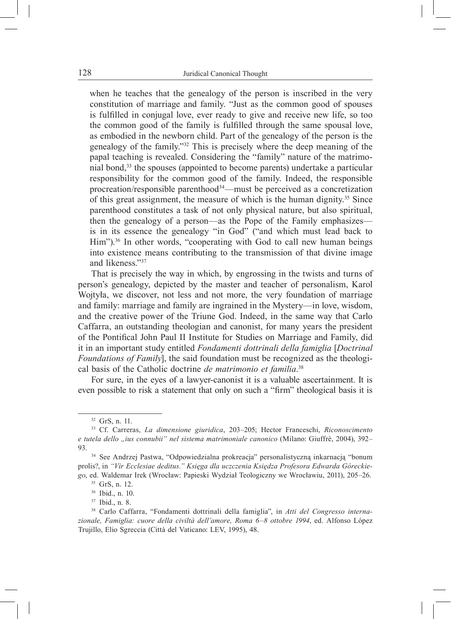when he teaches that the genealogy of the person is inscribed in the very constitution of marriage and family. "Just as the common good of spouses is fulfilled in conjugal love, ever ready to give and receive new life, so too the common good of the family is fulfilled through the same spousal love, as embodied in the newborn child. Part of the genealogy of the person is the genealogy of the family."32 This is precisely where the deep meaning of the papal teaching is revealed. Considering the "family" nature of the matrimonial bond,33 the spouses (appointed to become parents) undertake a particular responsibility for the common good of the family. Indeed, the responsible procreation/responsible parenthood<sup>34</sup>—must be perceived as a concretization of this great assignment, the measure of which is the human dignity.35 Since parenthood constitutes a task of not only physical nature, but also spiritual, then the genealogy of a person—as the Pope of the Family emphasizes is in its essence the genealogy "in God" ("and which must lead back to Him").<sup>36</sup> In other words, "cooperating with God to call new human beings into existence means contributing to the transmission of that divine image and likeness<sup>"37</sup>

That is precisely the way in which, by engrossing in the twists and turns of person's genealogy, depicted by the master and teacher of personalism, Karol Wojtyła, we discover, not less and not more, the very foundation of marriage and family: marriage and family are ingrained in the Mystery—in love, wisdom, and the creative power of the Triune God. Indeed, in the same way that Carlo Caffarra, an outstanding theologian and canonist, for many years the president of the Pontifical John Paul II Institute for Studies on Marriage and Family, did it in an important study entitled *Fondamenti dottrinali della famiglia* [*Doctrinal Foundations of Family*], the said foundation must be recognized as the theological basis of the Catholic doctrine *de matrimonio et familia*. 38

For sure, in the eyes of a lawyer-canonist it is a valuable ascertainment. It is even possible to risk a statement that only on such a "firm" theological basis it is

<sup>32</sup> GrS, n. 11.

<sup>33</sup> Cf. Carreras, *La dimensione giuridica*, 203–205; Hector Franceschi, *Riconoscimento e tutela dello "ius connubii" nel sistema matrimoniale canonico* (Milano: Giuffrè, 2004), 392– 93.

<sup>34</sup> See Andrzej Pastwa, "Odpowiedzialna prokreacja" personalistyczną inkarnacją "bonum prolis?, in *"Vir Ecclesiae deditus." Księga dla uczczenia Księdza Profesora Edwarda Góreckiego*, ed. Waldemar Irek (Wrocław: Papieski Wydział Teologiczny we Wrocławiu, 2011), 205–26.

<sup>35</sup> GrS, n. 12.

<sup>&</sup>lt;sup>36</sup> Ibid., n. 10.<br><sup>37</sup> Ibid., n. 8.<br><sup>38</sup> Carlo Caffarra, "Fondamenti dottrinali della famiglia", in *Atti del Congresso internazionale, Famiglia: cuore della civiltà dell'amore, Roma 6*–*8 ottobre 1994*, ed. Alfonso López Trujillo, Elio Sgreccia (Città del Vaticano: LEV, 1995), 48.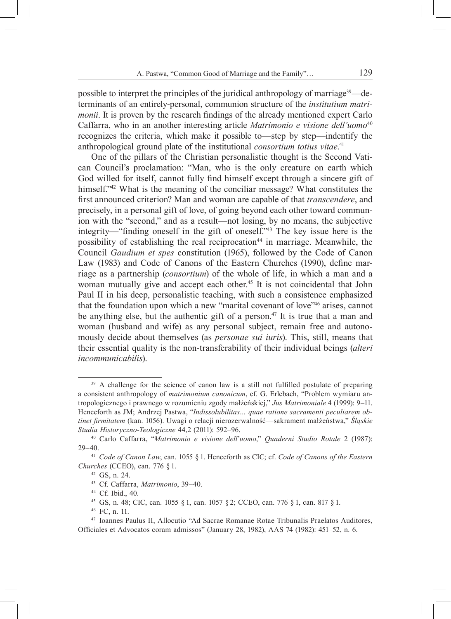possible to interpret the principles of the juridical anthropology of marriage39—determinants of an entirely-personal, communion structure of the *institutium matrimonii*. It is proven by the research findings of the already mentioned expert Carlo Caffarra, who in an another interesting article *Matrimonio e visione dell'uomo*<sup>40</sup> recognizes the criteria, which make it possible to—step by step—indentify the anthropological ground plate of the institutional *consortium totius vitae*. 41

One of the pillars of the Christian personalistic thought is the Second Vatican Council's proclamation: "Man, who is the only creature on earth which God willed for itself, cannot fully find himself except through a sincere gift of himself.<sup>242</sup> What is the meaning of the conciliar message? What constitutes the first announced criterion? Man and woman are capable of that *transcendere*, and precisely, in a personal gift of love, of going beyond each other toward communion with the "second," and as a result—not losing, by no means, the subjective integrity—"finding oneself in the gift of oneself."43 The key issue here is the possibility of establishing the real reciprocation<sup>44</sup> in marriage. Meanwhile, the Council *Gaudium et spes* constitution (1965), followed by the Code of Canon Law (1983) and Code of Canons of the Eastern Churches (1990), define marriage as a partnership (*consortium*) of the whole of life, in which a man and a woman mutually give and accept each other.<sup>45</sup> It is not coincidental that John Paul II in his deep, personalistic teaching, with such a consistence emphasized that the foundation upon which a new "marital covenant of love"46 arises, cannot be anything else, but the authentic gift of a person.<sup>47</sup> It is true that a man and woman (husband and wife) as any personal subject, remain free and autonomously decide about themselves (as *personae sui iuris*). This, still, means that their essential quality is the non-transferability of their individual beings (*alteri incommunicabilis*).

<sup>45</sup> GS, n. 48; CIC, can. 1055 § 1, can. 1057 § 2; CCEO, can. 776 § 1, can. 817 § 1.

<sup>&</sup>lt;sup>39</sup> A challenge for the science of canon law is a still not fulfilled postulate of preparing a consistent anthropology of *matrimonium canonicum*, cf. G. Erlebach, "Problem wymiaru antropologicznego i prawnego w rozumieniu zgody małżeńskiej," *Jus Matrimoniale* 4 (1999): 9–11. Henceforth as JM; Andrzej Pastwa, "*Indissolubilitas… quae ratione sacramenti peculiarem obtinet firmitatem* (kan. 1056). Uwagi o relacji nierozerwalność—sakrament małżeństwa," *Śląskie Studia Historyczno-Teologiczne* 44,2 (2011): 592–96.

<sup>40</sup> Carlo Caffarra, "*Matrimonio e visione dell*'*uomo*," *Quaderni Studio Rotale* 2 (1987): 29–40.

<sup>41</sup> *Code of Canon Law*, can. 1055 § 1. Henceforth as CIC; cf. *Code of Canons of the Eastern Churches* (CCEO), can. 776 § 1.<br><sup>42</sup> GS, n. 24.

<sup>43</sup> Cf. Caffarra, *Matrimonio*, 39–40.

<sup>44</sup> Cf. Ibid., 40.

<sup>46</sup> FC, n. 11.

<sup>47</sup> Ioannes Paulus II, Allocutio "Ad Sacrae Romanae Rotae Tribunalis Praelatos Auditores, Officiales et Advocatos coram admissos" (January 28, 1982), AAS 74 (1982): 451–52, n. 6.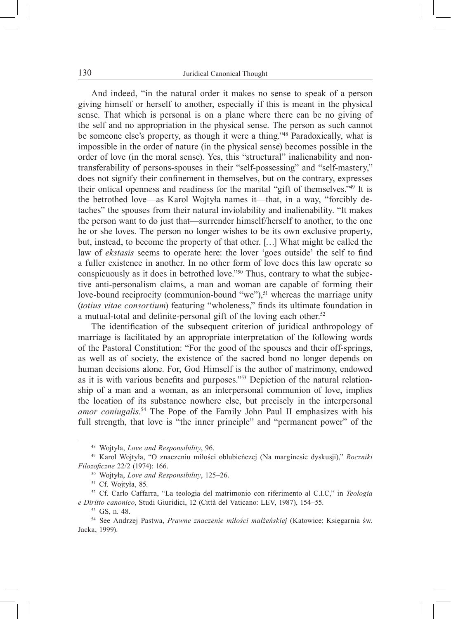And indeed, "in the natural order it makes no sense to speak of a person giving himself or herself to another, especially if this is meant in the physical sense. That which is personal is on a plane where there can be no giving of the self and no appropriation in the physical sense. The person as such cannot be someone else's property, as though it were a thing.<sup>248</sup> Paradoxically, what is impossible in the order of nature (in the physical sense) becomes possible in the order of love (in the moral sense). Yes, this "structural" inalienability and nontransferability of persons-spouses in their "self-possessing" and "self-mastery," does not signify their confinement in themselves, but on the contrary, expresses their ontical openness and readiness for the marital "gift of themselves."49 It is the betrothed love—as Karol Wojtyła names it—that, in a way, "forcibly detaches" the spouses from their natural inviolability and inalienability. "It makes the person want to do just that—surrender himself/herself to another, to the one he or she loves. The person no longer wishes to be its own exclusive property, but, instead, to become the property of that other. […] What might be called the law of *ekstasis* seems to operate here: the lover 'goes outside' the self to find a fuller existence in another. In no other form of love does this law operate so conspicuously as it does in betrothed love."50 Thus, contrary to what the subjective anti-personalism claims, a man and woman are capable of forming their love-bound reciprocity (communion-bound "we"),<sup>51</sup> whereas the marriage unity (*totius vitae consortium*) featuring "wholeness," finds its ultimate foundation in a mutual-total and definite-personal gift of the loving each other.<sup>52</sup>

The identification of the subsequent criterion of juridical anthropology of marriage is facilitated by an appropriate interpretation of the following words of the Pastoral Constitution: "For the good of the spouses and their off-springs, as well as of society, the existence of the sacred bond no longer depends on human decisions alone. For, God Himself is the author of matrimony, endowed as it is with various benefits and purposes."53 Depiction of the natural relationship of a man and a woman, as an interpersonal communion of love, implies the location of its substance nowhere else, but precisely in the interpersonal *amor coniugalis*. 54 The Pope of the Family John Paul II emphasizes with his full strength, that love is "the inner principle" and "permanent power" of the

<sup>48</sup> Wojtyła, *Love and Responsibility*, 96. 49 Karol Wojtyła, "O znaczeniu miłości oblubieńczej (Na marginesie dyskusji)," *Roczniki Filozoficzne* 22/2 (1974): 166.

<sup>50</sup> Wojtyła, *Love and Responsibility*, 125–26.

<sup>51</sup> Cf. Wojtyła, 85.

<sup>52</sup> Cf. Carlo Caffarra, "La teologia del matrimonio con riferimento al C.I.C," in *Teologia e Diritto canonico*, Studi Giuridici, 12 (Città del Vaticano: LEV, 1987), 154–55.

<sup>53</sup> GS, n. 48. 54 See Andrzej Pastwa, *Prawne znaczenie miłości małżeńskiej* (Katowice: Księgarnia św. Jacka, 1999).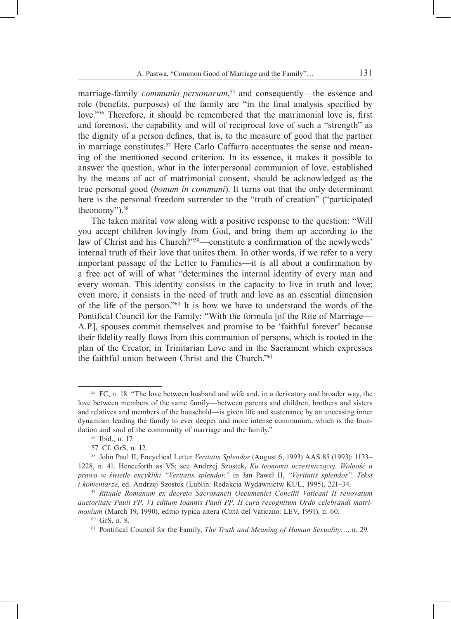marriage-family *communio personarum*, 55 and consequently—the essence and role (benefits, purposes) of the family are "in the final analysis specified by love."56 Therefore, it should be remembered that the matrimonial love is, first and foremost, the capability and will of reciprocal love of such a "strength" as the dignity of a person defines, that is, to the measure of good that the partner in marriage constitutes.57 Here Carlo Caffarra accentuates the sense and meaning of the mentioned second criterion. In its essence, it makes it possible to answer the question, what in the interpersonal communion of love, established by the means of act of matrimonial consent, should be acknowledged as the true personal good (*bonum in communi*). It turns out that the only determinant here is the personal freedom surrender to the "truth of creation" ("participated theonomy").58

The taken marital vow along with a positive response to the question: "Will you accept children lovingly from God, and bring them up according to the law of Christ and his Church?"<sup>59</sup>—constitute a confirmation of the newlyweds' internal truth of their love that unites them. In other words, if we refer to a very important passage of the Letter to Families—it is all about a confirmation by a free act of will of what "determines the internal identity of every man and every woman. This identity consists in the capacity to live in truth and love; even more, it consists in the need of truth and love as an essential dimension of the life of the person."60 It is how we have to understand the words of the Pontifical Council for the Family: "With the formula [of the Rite of Marriage— A.P.], spouses commit themselves and promise to be 'faithful forever' because their fidelity really flows from this communion of persons, which is rooted in the plan of the Creator, in Trinitarian Love and in the Sacrament which expresses the faithful union between Christ and the Church."61

<sup>55</sup> FC, n. 18. "The love between husband and wife and, in a derivatory and broader way, the love between members of the same family—between parents and children, brothers and sisters and relatives and members of the household—is given life and sustenance by an unceasing inner dynamism leading the family to ever deeper and more intense communion, which is the foundation and soul of the community of marriage and the family."

<sup>56</sup> Ibid., n. 17.

<sup>57</sup> Cf. GrS, n. 12.

<sup>58</sup> John Paul II, Encyclical Letter *Veritatis Splendor* (August 6, 1993) AAS 85 (1993): 1133– 1228, n. 41. Henceforth as VS; see Andrzej Szostek, *Ku teonomii uczestniczącej. Wolność a prawo w świetle encykliki "Veritatis splendor,"* in Jan Paweł II, *"Veritatis splendor". Tekst i komentarze*, ed. Andrzej Szostek (Lublin: Redakcja Wydawnictw KUL, 1995), 221–34.

<sup>59</sup> *Rituale Romanum ex decreto Sacrosancti Oecumenici Concilii Vaticani II renovatum auctoritate Pauli PP. VI editum Ioannis Pauli PP. II cura recognitum Ordo celebrandi matrimonium* (March 19, 1990), editio typica altera (Città del Vaticano: LEV, 1991), n. 60.

<sup>60</sup> GrS, n. 8.

<sup>61</sup> Pontifical Council for the Family, *The Truth and Meaning of Human Sexuality*…, n. 29.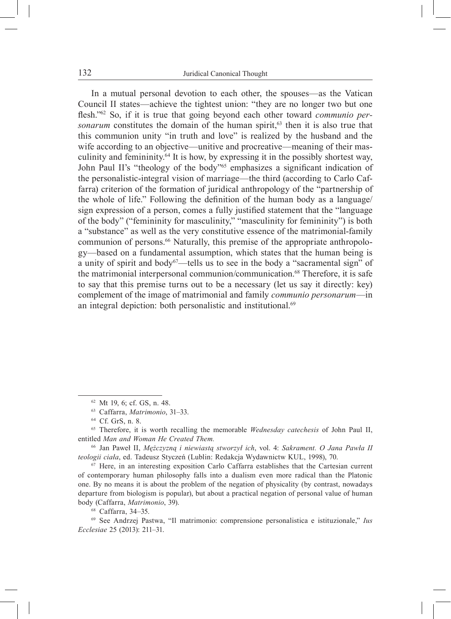In a mutual personal devotion to each other, the spouses—as the Vatican Council II states—achieve the tightest union: "they are no longer two but one flesh."62 So, if it is true that going beyond each other toward *communio personarum* constitutes the domain of the human spirit,<sup>63</sup> then it is also true that this communion unity "in truth and love" is realized by the husband and the wife according to an objective—unitive and procreative—meaning of their masculinity and femininity.64 It is how, by expressing it in the possibly shortest way, John Paul II's "theology of the body"<sup>65</sup> emphasizes a significant indication of the personalistic-integral vision of marriage—the third (according to Carlo Caffarra) criterion of the formation of juridical anthropology of the "partnership of the whole of life." Following the definition of the human body as a language/ sign expression of a person, comes a fully justified statement that the "language of the body" ("femininity for masculinity," "masculinity for femininity") is both a "substance" as well as the very constitutive essence of the matrimonial-family communion of persons.<sup>66</sup> Naturally, this premise of the appropriate anthropology—based on a fundamental assumption, which states that the human being is a unity of spirit and body<sup>67</sup>—tells us to see in the body a "sacramental sign" of the matrimonial interpersonal communion/communication.<sup>68</sup> Therefore, it is safe to say that this premise turns out to be a necessary (let us say it directly: key) complement of the image of matrimonial and family *communio personarum*—in an integral depiction: both personalistic and institutional.<sup>69</sup>

<sup>66</sup> Jan Paweł II, *Mężczyzną i niewiastą stworzył ich*, vol. 4: *Sakrament. O Jana Pawła II teologii ciała*, ed. Tadeusz Styczeń (Lublin: Redakcja Wydawnictw KUL, 1998), 70.

<sup>67</sup> Here, in an interesting exposition Carlo Caffarra establishes that the Cartesian current of contemporary human philosophy falls into a dualism even more radical than the Platonic one. By no means it is about the problem of the negation of physicality (by contrast, nowadays departure from biologism is popular), but about a practical negation of personal value of human body (Caffarra, *Matrimonio*, 39).

<sup>68</sup> Caffarra, 34–35.

<sup>69</sup> See Andrzej Pastwa, "Il matrimonio: comprensione personalistica e istituzionale," *Ius Ecclesiae* 25 (2013): 211–31.

<sup>62</sup> Mt 19, 6; cf. GS, n. 48.

<sup>63</sup> Caffarra, *Matrimonio*, 31–33.

<sup>64</sup> Cf. GrS, n. 8.

<sup>65</sup> Therefore, it is worth recalling the memorable *Wednesday catechesis* of John Paul II, entitled *Man and Woman He Created Them.*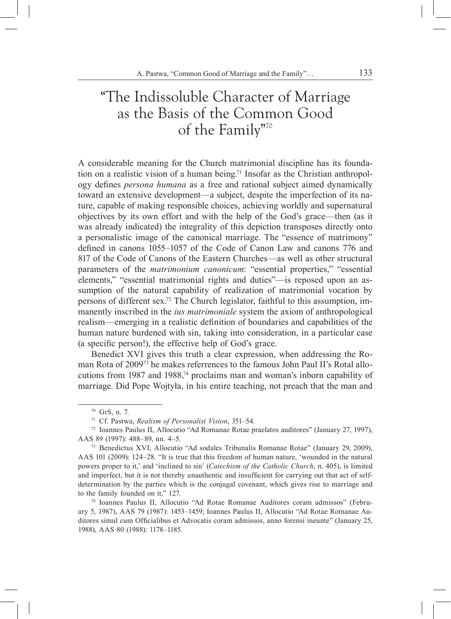### "The Indissoluble Character of Marriage as the Basis of the Common Good of the Family"70

A considerable meaning for the Church matrimonial discipline has its foundation on a realistic vision of a human being.<sup>71</sup> Insofar as the Christian anthropology defines *persona humana* as a free and rational subject aimed dynamically toward an extensive development—a subject, despite the imperfection of its nature, capable of making responsible choices, achieving worldly and supernatural objectives by its own effort and with the help of the God's grace—then (as it was already indicated) the integrality of this depiction transposes directly onto a personalistic image of the canonical marriage. The "essence of matrimony" defined in canons 1055–1057 of the Code of Canon Law and canons 776 and 817 of the Code of Canons of the Eastern Churches—as well as other structural parameters of the *matrimonium canonicum*: "essential properties," "essential elements," "essential matrimonial rights and duties"—is reposed upon an assumption of the natural capability of realization of matrimonial vocation by persons of different sex.72 The Church legislator, faithful to this assumption, immanently inscribed in the *ius matrimoniale* system the axiom of anthropological realism—emerging in a realistic definition of boundaries and capabilities of the human nature burdened with sin, taking into consideration, in a particular case (a specific person!), the effective help of God's grace.

Benedict XVI gives this truth a clear expression, when addressing the Roman Rota of 200973 he makes referrences to the famous John Paul II's Rotal allocutions from 1987 and 1988,<sup>74</sup> proclaims man and woman's inborn capability of marriage. Did Pope Wojtyła, in his entire teaching, not preach that the man and

<sup>70</sup> GrS, n. 7.

<sup>71</sup> Cf. Pastwa, *Realism of Personalist Vision*, 351–54.

<sup>72</sup> Ioannes Paulus II, Allocutio "Ad Romanae Rotae praelatos auditores" (January 27, 1997), AAS 89 (1997): 488–89, nn. 4–5.

<sup>73</sup> Benedictus XVI, Allocutio "Ad sodales Tribunalis Romanae Rotae" (January 29, 2009), AAS 101 (2009): 124–28. "It is true that this freedom of human nature, 'wounded in the natural powers proper to it,' and 'inclined to sin' (*Catechism of the Catholic Church*, n. 405), is limited and imperfect, but it is not thereby unauthentic and insufficient for carrying out that act of selfdetermination by the parties which is the conjugal covenant, which gives rise to marriage and to the family founded on it," 127.

<sup>74</sup> Ioannes Paulus II, Allocutio "Ad Rotae Romanae Auditores coram admissos" (February 5, 1987), AAS 79 (1987): 1453–1459; Ioannes Paulus II, Allocutio "Ad Rotae Romanae Auditores simul cum Officialibus et Advocatis coram admissos, anno forensi ineunte" (January 25, 1988), AAS 80 (1988): 1178–1185.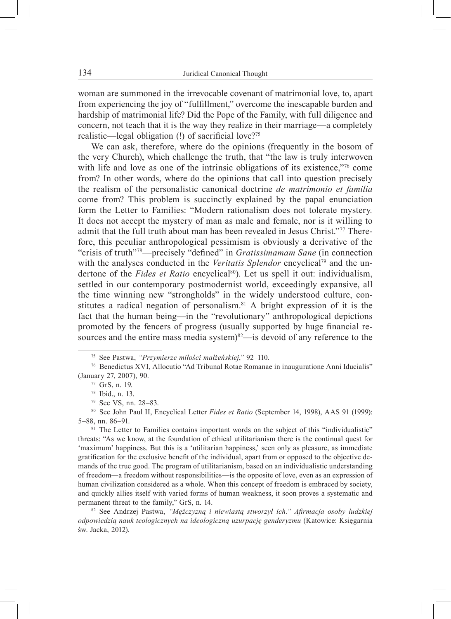woman are summoned in the irrevocable covenant of matrimonial love, to, apart from experiencing the joy of "fulfillment," overcome the inescapable burden and hardship of matrimonial life? Did the Pope of the Family, with full diligence and concern, not teach that it is the way they realize in their marriage—a completely realistic—legal obligation (!) of sacrificial love?<sup>75</sup>

We can ask, therefore, where do the opinions (frequently in the bosom of the very Church), which challenge the truth, that "the law is truly interwoven with life and love as one of the intrinsic obligations of its existence,"<sup>76</sup> come from? In other words, where do the opinions that call into question precisely the realism of the personalistic canonical doctrine *de matrimonio et familia*  come from? This problem is succinctly explained by the papal enunciation form the Letter to Families: "Modern rationalism does not tolerate mystery*.*  It does not accept the mystery of man as male and female, nor is it willing to admit that the full truth about man has been revealed in Jesus Christ."77 Therefore, this peculiar anthropological pessimism is obviously a derivative of the "crisis of truth"<sup>78</sup>—precisely "defined" in *Gratissimamam Sane* (in connection with the analyses conducted in the *Veritatis Splendor* encyclical<sup>79</sup> and the undertone of the *Fides et Ratio* encyclical<sup>80</sup>). Let us spell it out: individualism, settled in our contemporary postmodernist world, exceedingly expansive, all the time winning new "strongholds" in the widely understood culture, constitutes a radical negation of personalism.<sup>81</sup> A bright expression of it is the fact that the human being—in the "revolutionary" anthropological depictions promoted by the fencers of progress (usually supported by huge financial resources and the entire mass media system)<sup>82</sup>—is devoid of any reference to the

<sup>82</sup> See Andrzej Pastwa, *"Mężczyzną i niewiastą stworzył ich." Afirmacja osoby ludzkiej odpowiedzią nauk teologicznych na ideologiczną uzurpację genderyzmu* (Katowice: Księgarnia św. Jacka, 2012).

<sup>75</sup> See Pastwa, *"Przymierze miłości małżeńskiej*,*"* 92–110.

<sup>76</sup> Benedictus XVI, Allocutio "Ad Tribunal Rotae Romanae in inauguratione Anni Iducialis" (January 27, 2007), 90.

<sup>77</sup> GrS, n. 19.

<sup>78</sup> Ibid., n. 13.

<sup>79</sup> See VS, nn. 28–83. 80 See John Paul II, Encyclical Letter *Fides et Ratio* (September 14, 1998), AAS 91 (1999): 5–88, nn. 86–91.

<sup>&</sup>lt;sup>81</sup> The Letter to Families contains important words on the subject of this "individualistic" threats: "As we know, at the foundation of ethical utilitarianism there is the continual quest for 'maximum' happiness. But this is a 'utilitarian happiness,' seen only as pleasure, as immediate gratification for the exclusive benefit of the individual, apart from or opposed to the objective demands of the true good. The program of utilitarianism, based on an individualistic understanding of freedom*—*a freedom without responsibilities—is the opposite of love, even as an expression of human civilization considered as a whole. When this concept of freedom is embraced by society, and quickly allies itself with varied forms of human weakness, it soon proves a systematic and permanent threat to the family," GrS, n. 14.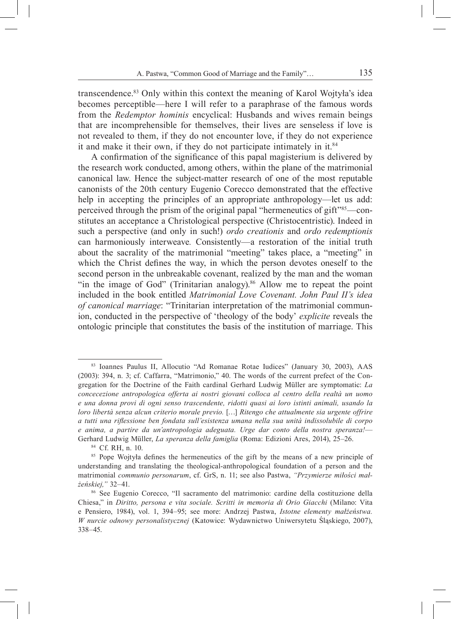transcendence.83 Only within this context the meaning of Karol Wojtyła's idea becomes perceptible—here I will refer to a paraphrase of the famous words from the *Redemptor hominis* encyclical: Husbands and wives remain beings that are incomprehensible for themselves, their lives are senseless if love is not revealed to them, if they do not encounter love, if they do not experience it and make it their own, if they do not participate intimately in it.84

A confirmation of the significance of this papal magisterium is delivered by the research work conducted, among others, within the plane of the matrimonial canonical law. Hence the subject-matter research of one of the most reputable canonists of the 20th century Eugenio Corecco demonstrated that the effective help in accepting the principles of an appropriate anthropology—let us add: perceived through the prism of the original papal "hermeneutics of gift"85—constitutes an acceptance a Christological perspective (Christocentristic). Indeed in such a perspective (and only in such!) *ordo creationis* and *ordo redemptionis*  can harmoniously interweave*.* Consistently—a restoration of the initial truth about the sacrality of the matrimonial "meeting" takes place, a "meeting" in which the Christ defines the way, in which the person devotes oneself to the second person in the unbreakable covenant, realized by the man and the woman "in the image of God" (Trinitarian analogy). $86$  Allow me to repeat the point included in the book entitled *Matrimonial Love Covenant. John Paul II's idea of canonical marriage*: "Trinitarian interpretation of the matrimonial communion, conducted in the perspective of 'theology of the body' *explicite* reveals the ontologic principle that constitutes the basis of the institution of marriage. This

<sup>84</sup> Cf. RH, n. 10.

<sup>83</sup> Ioannes Paulus II, Allocutio "Ad Romanae Rotae Iudices" (January 30, 2003), AAS (2003): 394, n. 3; cf. Caffarra, "Matrimonio," 40. The words of the current prefect of the Congregation for the Doctrine of the Faith cardinal Gerhard Ludwig Müller are symptomatic: *La concecezione antropologica offerta ai nostri giovani colloca al centro della realtà un uomo e una donna provi di ogni senso trascendente, ridotti quasi ai loro istinti animali, usando la loro libertà senza alcun criterio morale previo.* […] *Ritengo che attualmente sia urgente offrire a tutti una riflessione ben fondata sull'esistenza umana nella sua unità indissolubile di corpo e anima, a partire da un'antropologia adeguata. Urge dar conto della nostra speranza!*— Gerhard Ludwig Müller, *La speranza della famiglia* (Roma: Edizioni Ares, 2014), 25–26.

<sup>&</sup>lt;sup>85</sup> Pope Wojtyła defines the hermeneutics of the gift by the means of a new principle of understanding and translating the theological-anthropological foundation of a person and the matrimonial *communio personarum*, cf. GrS, n. 11; see also Pastwa, *"Przymierze miłości małżeńskiej,"* 32–41.

<sup>86</sup> See Eugenio Corecco, "Il sacramento del matrimonio: cardine della costituzione della Chiesa," in *Diritto, persona e vita sociale. Scritti in memoria di Orio Giacchi* (Milano: Vita e Pensiero, 1984), vol. 1, 394–95; see more: Andrzej Pastwa, *Istotne elementy małżeństwa. W nurcie odnowy personalistycznej* (Katowice: Wydawnictwo Uniwersytetu Śląskiego, 2007), 338–45.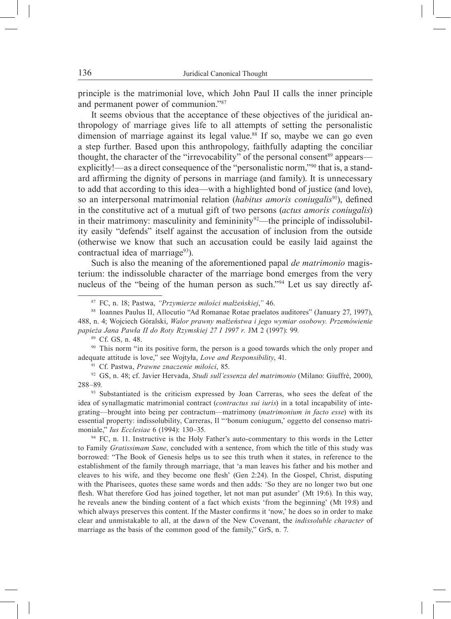principle is the matrimonial love, which John Paul II calls the inner principle and permanent power of communion."<sup>87</sup>

It seems obvious that the acceptance of these objectives of the juridical anthropology of marriage gives life to all attempts of setting the personalistic dimension of marriage against its legal value.<sup>88</sup> If so, maybe we can go even a step further. Based upon this anthropology, faithfully adapting the conciliar thought, the character of the "irrevocability" of the personal consent<sup>89</sup> appears explicitly!—as a direct consequence of the "personalistic norm,"90 that is, a standard affirming the dignity of persons in marriage (and family). It is unnecessary to add that according to this idea—with a highlighted bond of justice (and love), so an interpersonal matrimonial relation (*habitus amoris coniugalis*91), defined in the constitutive act of a mutual gift of two persons (*actus amoris coniugalis*) in their matrimony: masculinity and femininity<sup>92</sup>—the principle of indissolubility easily "defends" itself against the accusation of inclusion from the outside (otherwise we know that such an accusation could be easily laid against the contractual idea of marriage<sup>93</sup>).

Such is also the meaning of the aforementioned papal *de matrimonio* magisterium: the indissoluble character of the marriage bond emerges from the very nucleus of the "being of the human person as such."94 Let us say directly af-

<sup>90</sup> This norm "in its positive form, the person is a good towards which the only proper and adequate attitude is love," see Wojtyła, *Love and Responsibility*, 41.

<sup>91</sup> Cf. Pastwa, *Prawne znaczenie miłości*, 85. 92 GS, n. 48; cf. Javier Hervada, *Studi sull'essenza del matrimonio* (Milano: Giuffrè, 2000), 288–89.

<sup>93</sup> Substantiated is the criticism expressed by Joan Carreras, who sees the defeat of the idea of synallagmatic matrimonial contract (*contractus sui iuris*) in a total incapability of integrating—brought into being per contractum*—*matrimony (*matrimonium in facto esse*) with its essential property: indissolubility, Carreras, Il "'bonum coniugum,' oggetto del consenso matrimoniale," *Ius Ecclesiae* 6 (1994): 130–35.

<sup>94</sup> FC, n. 11. Instructive is the Holy Father's auto-commentary to this words in the Letter to Family *Gratissimam Sane*, concluded with a sentence, from which the title of this study was borrowed: "The Book of Genesis helps us to see this truth when it states, in reference to the establishment of the family through marriage, that 'a man leaves his father and his mother and cleaves to his wife, and they become one flesh' (Gen 2:24). In the Gospel, Christ, disputing with the Pharisees, quotes these same words and then adds: 'So they are no longer two but one flesh. What therefore God has joined together, let not man put asunder' (Mt 19:6). In this way, he reveals anew the binding content of a fact which exists 'from the beginning' (Mt 19:8) and which always preserves this content. If the Master confirms it 'now,' he does so in order to make clear and unmistakable to all, at the dawn of the New Covenant, the *indissoluble character* of marriage as the basis of the common good of the family," GrS, n. 7.

<sup>87</sup> FC, n. 18; Pastwa, *"Przymierze miłości małżeńskiej*,*"* 46.

<sup>88</sup> Ioannes Paulus II, Allocutio "Ad Romanae Rotae praelatos auditores" (January 27, 1997), 488, n. 4; Wojciech Góralski, *Walor prawny małżeństwa i jego wymiar osobowy. Przemówienie papieża Jana Pawła II do Roty Rzymskiej 27 I 1997 r.* JM 2 (1997): 99. 89 Cf. GS, n. 48.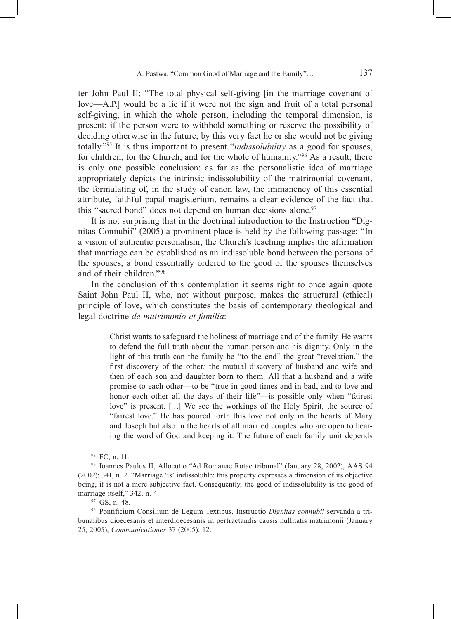ter John Paul II: "The total physical self-giving [in the marriage covenant of love—A.P.] would be a lie if it were not the sign and fruit of a total personal self-giving, in which the whole person, including the temporal dimension, is present: if the person were to withhold something or reserve the possibility of deciding otherwise in the future, by this very fact he or she would not be giving totally."95 It is thus important to present "*indissolubility* as a good for spouses, for children, for the Church, and for the whole of humanity."96 As a result, there is only one possible conclusion: as far as the personalistic idea of marriage appropriately depicts the intrinsic indissolubility of the matrimonial covenant, the formulating of, in the study of canon law, the immanency of this essential attribute, faithful papal magisterium, remains a clear evidence of the fact that this "sacred bond" does not depend on human decisions alone.<sup>97</sup>

It is not surprising that in the doctrinal introduction to the Instruction "Dignitas Connubii" (2005) a prominent place is held by the following passage: "In a vision of authentic personalism, the Church's teaching implies the affirmation that marriage can be established as an indissoluble bond between the persons of the spouses, a bond essentially ordered to the good of the spouses themselves and of their children."98

In the conclusion of this contemplation it seems right to once again quote Saint John Paul II, who, not without purpose, makes the structural (ethical) principle of love, which constitutes the basis of contemporary theological and legal doctrine *de matrimonio et familia*:

> Christ wants to safeguard the holiness of marriage and of the family*.* He wants to defend the full truth about the human person and his dignity. Only in the light of this truth can the family be "to the end" the great "revelation," the first discovery of the other*:* the mutual discovery of husband and wife and then of each son and daughter born to them. All that a husband and a wife promise to each other—to be "true in good times and in bad, and to love and honor each other all the days of their life"—is possible only when "fairest" love" is present. […] We see the workings of the Holy Spirit, the source of "fairest love." He has poured forth this love not only in the hearts of Mary and Joseph but also in the hearts of all married couples who are open to hearing the word of God and keeping it. The future of each family unit depends

<sup>&</sup>lt;sup>95</sup> FC, n. 11.

<sup>96</sup> Ioannes Paulus II, Allocutio "Ad Romanae Rotae tribunal" (January 28, 2002), AAS 94 (2002): 341, n. 2. "Marriage 'is' indissoluble: this property expresses a dimension of its objective being, it is not a mere subjective fact. Consequently, the good of indissolubility is the good of marriage itself," 342, n. 4.

<sup>97</sup> GS, n. 48.

<sup>98</sup> Pontificium Consilium de Legum Textibus, Instructio *Dignitas connubii* servanda a tribunalibus dioecesanis et interdioecesanis in pertractandis causis nullitatis matrimonii (January 25, 2005), *Communicationes* 37 (2005): 12.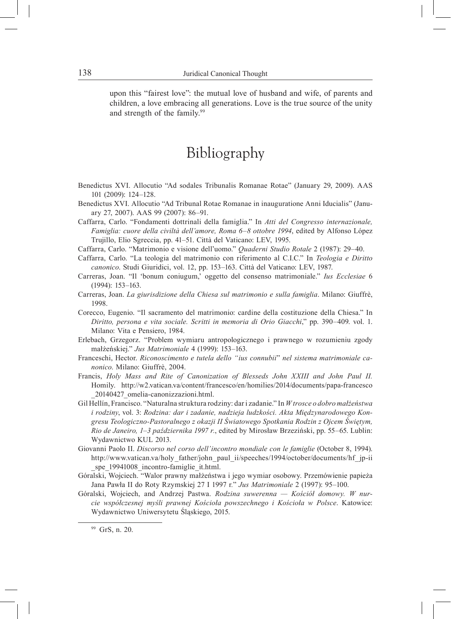upon this "fairest love": the mutual love of husband and wife, of parents and children, a love embracing all generations. Love is the true source of the unity and strength of the family.<sup>99</sup>

### Bibliography

- Benedictus XVI. Allocutio "Ad sodales Tribunalis Romanae Rotae" (January 29, 2009). AAS 101 (2009): 124–128.
- Benedictus XVI. Allocutio "Ad Tribunal Rotae Romanae in inauguratione Anni Iducialis" (January 27, 2007). AAS 99 (2007): 86–91.
- Caffarra, Carlo. "Fondamenti dottrinali della famiglia." In *Atti del Congresso internazionale, Famiglia: cuore della civiltà dell'amore, Roma 6*–*8 ottobre 1994*, edited by Alfonso López Trujillo, Elio Sgreccia, pp. 41–51. Città del Vaticano: LEV, 1995.
- Caffarra, Carlo. "Matrimonio e visione dell'uomo." *Quaderni Studio Rotale* 2 (1987): 29–40.
- Caffarra, Carlo. "La teologia del matrimonio con riferimento al C.I.C." In *Teologia e Diritto canonico*. Studi Giuridici, vol. 12, pp. 153–163. Città del Vaticano: LEV, 1987.
- Carreras, Joan. "Il 'bonum coniugum,' oggetto del consenso matrimoniale." *Ius Ecclesiae* 6 (1994): 153–163.
- Carreras, Joan. *La giurisdizione della Chiesa sul matrimonio e sulla famiglia*. Milano: Giuffrè, 1998.
- Corecco, Eugenio. "Il sacramento del matrimonio: cardine della costituzione della Chiesa." In *Diritto, persona e vita sociale. Scritti in memoria di Orio Giacchi*," pp. 390–409. vol. 1. Milano: Vita e Pensiero, 1984.
- Erlebach, Grzegorz. "Problem wymiaru antropologicznego i prawnego w rozumieniu zgody małżeńskiej." *Jus Matrimoniale* 4 (1999): 153–163.
- Franceschi, Hector. *Riconoscimento e tutela dello "ius connubii*" *nel sistema matrimoniale canonico*. Milano: Giuffrè, 2004.
- Francis, *Holy Mass and Rite of Canonization of Blesseds John XXIII and John Paul II.* Homily. http://w2.vatican.va/content/francesco/en/homilies/2014/documents/papa-francesco \_20140427\_omelia-canonizzazioni.html.
- Gil Hellín, Francisco. "Naturalna struktura rodziny: dar i zadanie." In *W trosce o dobro małżeństwa i rodziny*, vol. 3: *Rodzina: dar i zadanie, nadzieja ludzkości. Akta Międzynarodowego Kongresu Teologiczno-Pastoralnego z okazji II Światowego Spotkania Rodzin z Ojcem Świętym, Rio de Janeiro, 1–3 października 1997 r.*, edited by Mirosław Brzeziński, pp. 55–65. Lublin: Wydawnictwo KUL 2013.
- Giovanni Paolo II. *Discorso nel corso dell'incontro mondiale con le famiglie* (October 8, 1994). http://www.vatican.va/holy\_father/john\_paul\_ii/speeches/1994/october/documents/hf\_jp-ii spe 19941008 incontro-famiglie it.html.
- Góralski, Wojciech. "Walor prawny małżeństwa i jego wymiar osobowy. Przemówienie papieża Jana Pawła II do Roty Rzymskiej 27 I 1997 r*.*" *Jus Matrimoniale* 2 (1997): 95–100.
- Góralski, Wojciech, and Andrzej Pastwa. *Rodzina suwerenna Kościół domowy. W nurcie współczesnej myśli prawnej Kościoła powszechnego i Kościoła w Polsce*. Katowice: Wydawnictwo Uniwersytetu Śląskiego, 2015.

<sup>99</sup> GrS, n. 20.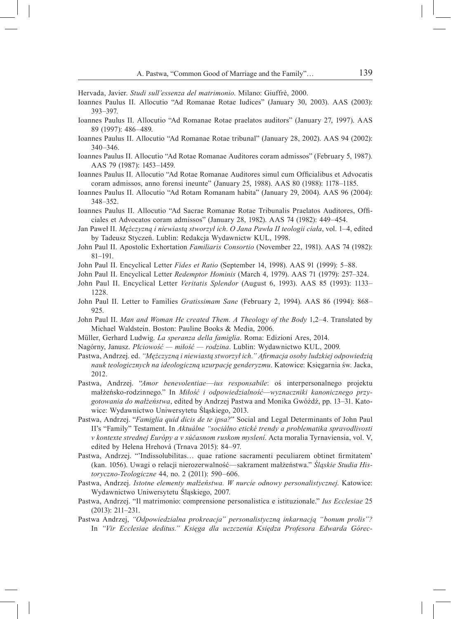Hervada, Javier. *Studi sull'essenza del matrimonio*. Milano: Giuffrè, 2000.

- Ioannes Paulus II. Allocutio "Ad Romanae Rotae Iudices" (January 30, 2003). AAS (2003): 393–397.
- Ioannes Paulus II. Allocutio "Ad Romanae Rotae praelatos auditors" (January 27, 1997). AAS 89 (1997): 486–489.
- Ioannes Paulus II. Allocutio "Ad Romanae Rotae tribunal" (January 28, 2002). AAS 94 (2002): 340–346.
- Ioannes Paulus II. Allocutio "Ad Rotae Romanae Auditores coram admissos" (February 5, 1987). AAS 79 (1987): 1453–1459.
- Ioannes Paulus II. Allocutio "Ad Rotae Romanae Auditores simul cum Officialibus et Advocatis coram admissos, anno forensi ineunte" (January 25, 1988). AAS 80 (1988): 1178–1185.
- Ioannes Paulus II. Allocutio "Ad Rotam Romanam habita" (January 29, 2004). AAS 96 (2004): 348–352.
- Ioannes Paulus II. Allocutio "Ad Sacrae Romanae Rotae Tribunalis Praelatos Auditores, Officiales et Advocatos coram admissos" (January 28, 1982). AAS 74 (1982): 449–454.
- Jan Paweł II. *Mężczyzną i niewiastą stworzył ich*. *O Jana Pawła II teologii ciała*, vol. 1–4, edited by Tadeusz Styczeń. Lublin: Redakcja Wydawnictw KUL, 1998.
- John Paul II. Apostolic Exhortation *Familiaris Consortio* (November 22, 1981). AAS 74 (1982): 81–191.
- John Paul II. Encyclical Letter *Fides et Ratio* (September 14, 1998). AAS 91 (1999): 5–88.
- John Paul II. Encyclical Letter *Redemptor Hominis* (March 4, 1979). AAS 71 (1979): 257–324.
- John Paul II. Encyclical Letter *Veritatis Splendor* (August 6, 1993). AAS 85 (1993): 1133– 1228.
- John Paul II. Letter to Families *Gratissimam Sane* (February 2, 1994). AAS 86 (1994): 868– 925.
- John Paul II. *Man and Woman He created Them. A Theology of the Body* 1,2–4. Translated by Michael Waldstein. Boston: Pauline Books & Media, 2006.
- Müller, Gerhard Ludwig. *La speranza della famiglia*. Roma: Edizioni Ares, 2014.
- Nagórny, Janusz. *Płciowość miłość rodzina*. Lublin: Wydawnictwo KUL, 2009.
- Pastwa, Andrzej. ed. *"Mężczyzną i niewiastą stworzył ich." Afirmacja osoby ludzkiej odpowiedzią nauk teologicznych na ideologiczną uzurpację genderyzmu*. Katowice: Księgarnia św. Jacka, 2012.
- Pastwa, Andrzej. "*Amor benevolentiae*—*ius responsabile*: oś interpersonalnego projektu małżeńsko-rodzinnego." In *Miłość i odpowiedzialność—wyznaczniki kanonicznego przygotowania do małżeństwa*, edited by Andrzej Pastwa and Monika Gwóźdź, pp. 13–31. Katowice: Wydawnictwo Uniwersytetu Śląskiego, 2013.
- Pastwa, Andrzej. "*Famiglia quid dicis de te ipsa?*" Social and Legal Determinants of John Paul II's "Family" Testament. In *Aktuálne "sociálno etické trendy a problematika spravodlivosti v kontexte strednej Európy a v súčasnom ruskom myslení*. Acta moralia Tyrnaviensia, vol. V, edited by Helena Hrehová (Trnava 2015): 84–97.
- Pastwa, Andrzej. "'Indissolubilitas… quae ratione sacramenti peculiarem obtinet firmitatem' (kan. 1056). Uwagi o relacji nierozerwalność—sakrament małżeństwa." *Śląskie Studia Historyczno-Teologiczne* 44, no. 2 (2011): 590–606.
- Pastwa, Andrzej. *Istotne elementy małżeństwa. W nurcie odnowy personalistycznej*. Katowice: Wydawnictwo Uniwersytetu Śląskiego, 2007.
- Pastwa, Andrzej. "Il matrimonio: comprensione personalistica e istituzionale." *Ius Ecclesiae* 25 (2013): 211–231.
- Pastwa Andrzej, *"Odpowiedzialna prokreacja" personalistyczną inkarnacją "bonum prolis"?* In *"Vir Ecclesiae deditus." Księga dla uczczenia Księdza Profesora Edwarda Górec-*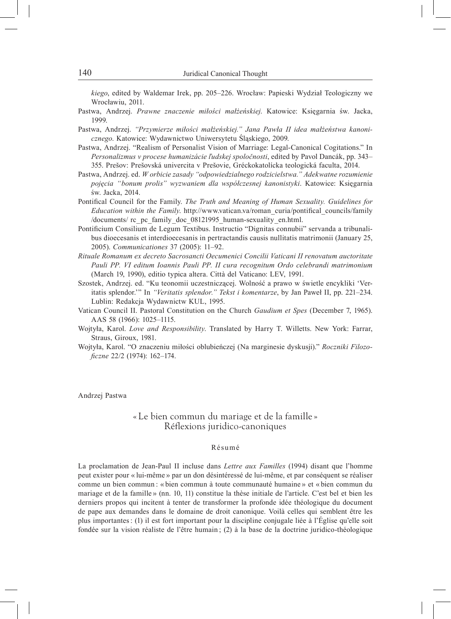*kiego*, edited by Waldemar Irek, pp. 205–226. Wrocław: Papieski Wydział Teologiczny we Wrocławiu, 2011.

- Pastwa, Andrzej. *Prawne znaczenie miłości małżeńskiej*. Katowice: Księgarnia św. Jacka, 1999.
- Pastwa, Andrzej. *"Przymierze miłości małżeńskiej." Jana Pawła II idea małżeństwa kanonicznego*. Katowice: Wydawnictwo Uniwersytetu Śląskiego, 2009.
- Pastwa, Andrzej. "Realism of Personalist Vision of Marriage: Legal-Canonical Cogitations." In *Personalizmus v procese humanizácie ľudskej spoločnosti*, edited by Pavol Dancák, pp. 343– 355. Prešov: Prešovská univercita v Prešovie, Gréckokatolícka teologická faculta, 2014.
- Pastwa, Andrzej. ed. *W orbicie zasady "odpowiedzialnego rodzicielstwa." Adekwatne rozumienie pojęcia "bonum prolis" wyzwaniem dla współczesnej kanonistyki*. Katowice: Księgarnia św. Jacka, 2014.
- Pontifical Council for the Family. *The Truth and Meaning of Human Sexuality. Guidelines for Education within the Family*. http://www.vatican.va/roman\_curia/pontifical\_councils/family /documents/ rc\_pc\_family\_doc\_08121995\_human-sexuality\_en.html.
- Pontificium Consilium de Legum Textibus. Instructio "Dignitas connubii" servanda a tribunalibus dioecesanis et interdioecesanis in pertractandis causis nullitatis matrimonii (January 25, 2005). *Communicationes* 37 (2005): 11–92.
- *Rituale Romanum ex decreto Sacrosancti Oecumenici Concilii Vaticani II renovatum auctoritate Pauli PP. VI editum Ioannis Pauli PP. II cura recognitum Ordo celebrandi matrimonium* (March 19, 1990), editio typica altera. Città del Vaticano: LEV, 1991.
- Szostek, Andrzej. ed. "Ku teonomii uczestniczącej. Wolność a prawo w świetle encykliki 'Veritatis splendor.'" In *"Veritatis splendor." Tekst i komentarze*, by Jan Paweł II, pp. 221–234. Lublin: Redakcja Wydawnictw KUL, 1995.
- Vatican Council II. Pastoral Constitution on the Church *Gaudium et Spes* (December 7, 1965). AAS 58 (1966): 1025–1115.
- Wojtyła, Karol. *Love and Responsibility*. Translated by Harry T. Willetts. New York: Farrar, Straus, Giroux, 1981.
- Wojtyła, Karol. "O znaczeniu miłości oblubieńczej (Na marginesie dyskusji)." *Roczniki Filozoficzne* 22/2 (1974): 162–174.

Andrzej Pastwa

#### « Le bien commun du mariage et de la famille » Réflexions juridico-canoniques

#### Résumé

La proclamation de Jean-Paul II incluse dans *Lettre aux Familles* (1994) disant que l'homme peut exister pour « lui-même » par un don désintéressé de lui-même, et par conséquent se réaliser comme un bien commun : « bien commun à toute communauté humaine » et « bien commun du mariage et de la famille » (nn. 10, 11) constitue la thèse initiale de l'article. C'est bel et bien les derniers propos qui incitent à tenter de transformer la profonde idée théologique du document de pape aux demandes dans le domaine de droit canonique. Voilà celles qui semblent être les plus importantes: (1) il est fort important pour la discipline conjugale liée à l'Église qu'elle soit fondée sur la vision réaliste de l'être humain ; (2) à la base de la doctrine juridico-théologique